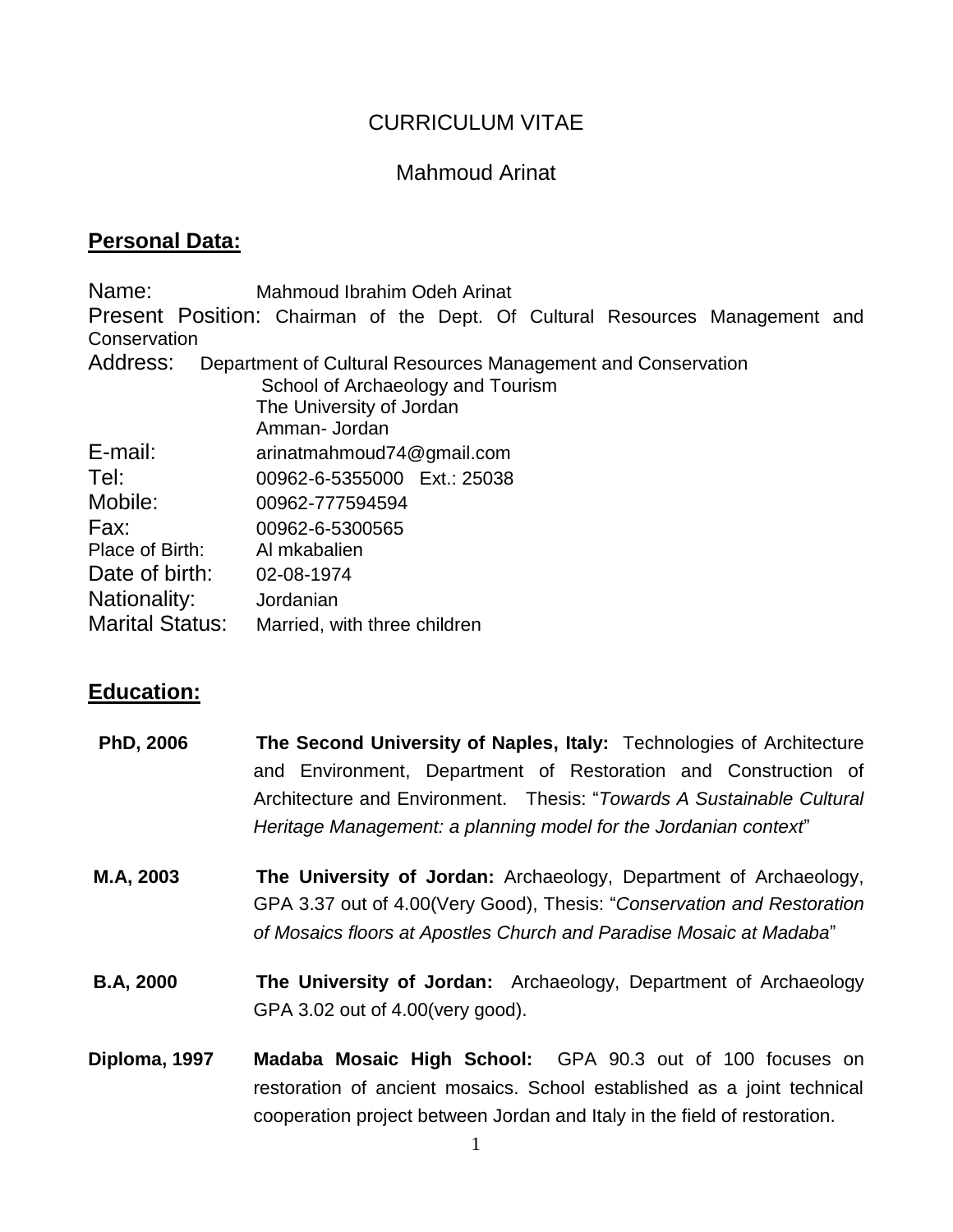## CURRICULUM VITAE

### Mahmoud Arinat

### **Personal Data:**

Name: Mahmoud Ibrahim Odeh Arinat Present Position: Chairman of the Dept. Of Cultural Resources Management and **Conservation** Address: Department of Cultural Resources Management and Conservation School of Archaeology and Tourism The University of Jordan Amman- Jordan E-mail: arinatmahmoud74@gmail.com Tel: 00962-6-5355000 Ext.: 25038 Mobile: 00962-777594594 Fax: 00962-6-5300565 Place of Birth: Al mkabalien Date of birth: 02-08-1974 Nationality: Jordanian Marital Status: Married, with three children

### **Education:**

- **PhD, 2006 The Second University of Naples, Italy:** Technologies of Architecture and Environment, Department of Restoration and Construction of Architecture and Environment. Thesis: "*Towards A Sustainable Cultural Heritage Management: a planning model for the Jordanian context*"
- **M.A, 2003 The University of Jordan:** Archaeology, Department of Archaeology, GPA 3.37 out of 4.00(Very Good), Thesis: "*Conservation and Restoration of Mosaics floors at Apostles Church and Paradise Mosaic at Madaba*"
- **B.A, 2000 The University of Jordan:** Archaeology, Department of Archaeology GPA 3.02 out of 4.00(very good).
- **Diploma, 1997 Madaba Mosaic High School:** GPA 90.3 out of 100 focuses on restoration of ancient mosaics. School established as a joint technical cooperation project between Jordan and Italy in the field of restoration.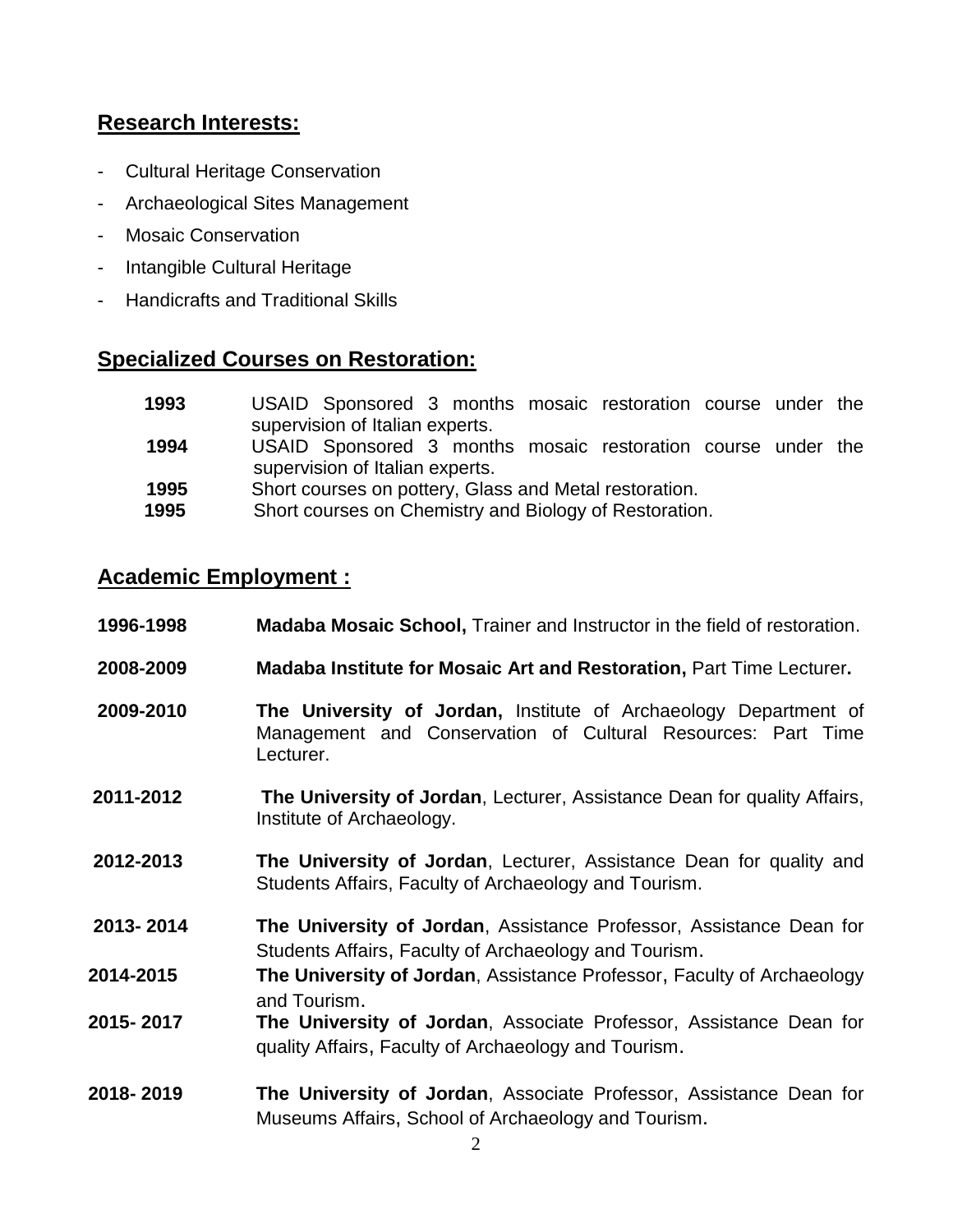# **Research Interests:**

- Cultural Heritage Conservation
- Archaeological Sites Management
- Mosaic Conservation
- Intangible Cultural Heritage
- Handicrafts and Traditional Skills

## **Specialized Courses on Restoration:**

| 1993 | USAID Sponsored 3 months mosaic restoration course under the |  |
|------|--------------------------------------------------------------|--|
|      | supervision of Italian experts.                              |  |
| 1994 | USAID Sponsored 3 months mosaic restoration course under the |  |
|      | supervision of Italian experts.                              |  |
| 1995 | Short courses on pottery, Glass and Metal restoration.       |  |
| 1995 | Short courses on Chemistry and Biology of Restoration.       |  |

## **Academic Employment :**

| 1996-1998 | Madaba Mosaic School, Trainer and Instructor in the field of restoration.                                                                            |
|-----------|------------------------------------------------------------------------------------------------------------------------------------------------------|
| 2008-2009 | Madaba Institute for Mosaic Art and Restoration, Part Time Lecturer.                                                                                 |
| 2009-2010 | <b>The University of Jordan, Institute of Archaeology Department of</b><br>Management and Conservation of Cultural Resources: Part Time<br>Lecturer. |
| 2011-2012 | <b>The University of Jordan, Lecturer, Assistance Dean for quality Affairs,</b><br>Institute of Archaeology.                                         |
| 2012-2013 | The University of Jordan, Lecturer, Assistance Dean for quality and<br>Students Affairs, Faculty of Archaeology and Tourism.                         |
| 2013-2014 | The University of Jordan, Assistance Professor, Assistance Dean for<br>Students Affairs, Faculty of Archaeology and Tourism.                         |
| 2014-2015 | <b>The University of Jordan, Assistance Professor, Faculty of Archaeology</b><br>and Tourism.                                                        |
| 2015-2017 | The University of Jordan, Associate Professor, Assistance Dean for<br>quality Affairs, Faculty of Archaeology and Tourism.                           |
| 2018-2019 | The University of Jordan, Associate Professor, Assistance Dean for<br>Museums Affairs, School of Archaeology and Tourism.                            |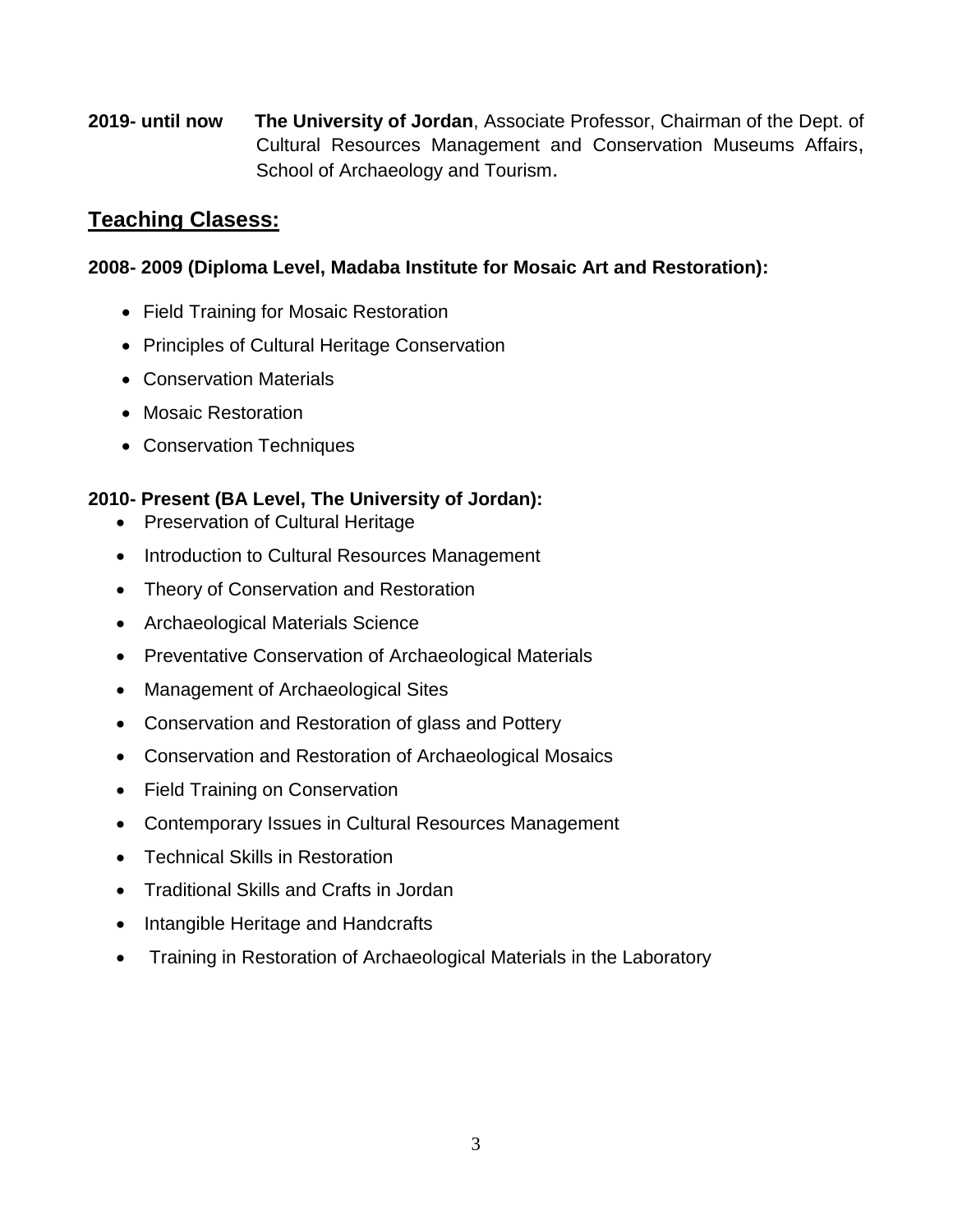**2019- until now The University of Jordan**, Associate Professor, Chairman of the Dept. of Cultural Resources Management and Conservation Museums Affairs, School of Archaeology and Tourism.

## **Teaching Clasess:**

#### **2008- 2009 (Diploma Level, Madaba Institute for Mosaic Art and Restoration):**

- Field Training for Mosaic Restoration
- Principles of Cultural Heritage Conservation
- Conservation Materials
- Mosaic Restoration
- Conservation Techniques

#### **2010- Present (BA Level, The University of Jordan):**

- Preservation of Cultural Heritage
- Introduction to Cultural Resources Management
- Theory of Conservation and Restoration
- Archaeological Materials Science
- Preventative Conservation of Archaeological Materials
- Management of Archaeological Sites
- Conservation and Restoration of glass and Pottery
- Conservation and Restoration of Archaeological Mosaics
- Field Training on Conservation
- Contemporary Issues in Cultural Resources Management
- Technical Skills in Restoration
- Traditional Skills and Crafts in Jordan
- Intangible Heritage and Handcrafts
- Training in Restoration of Archaeological Materials in the Laboratory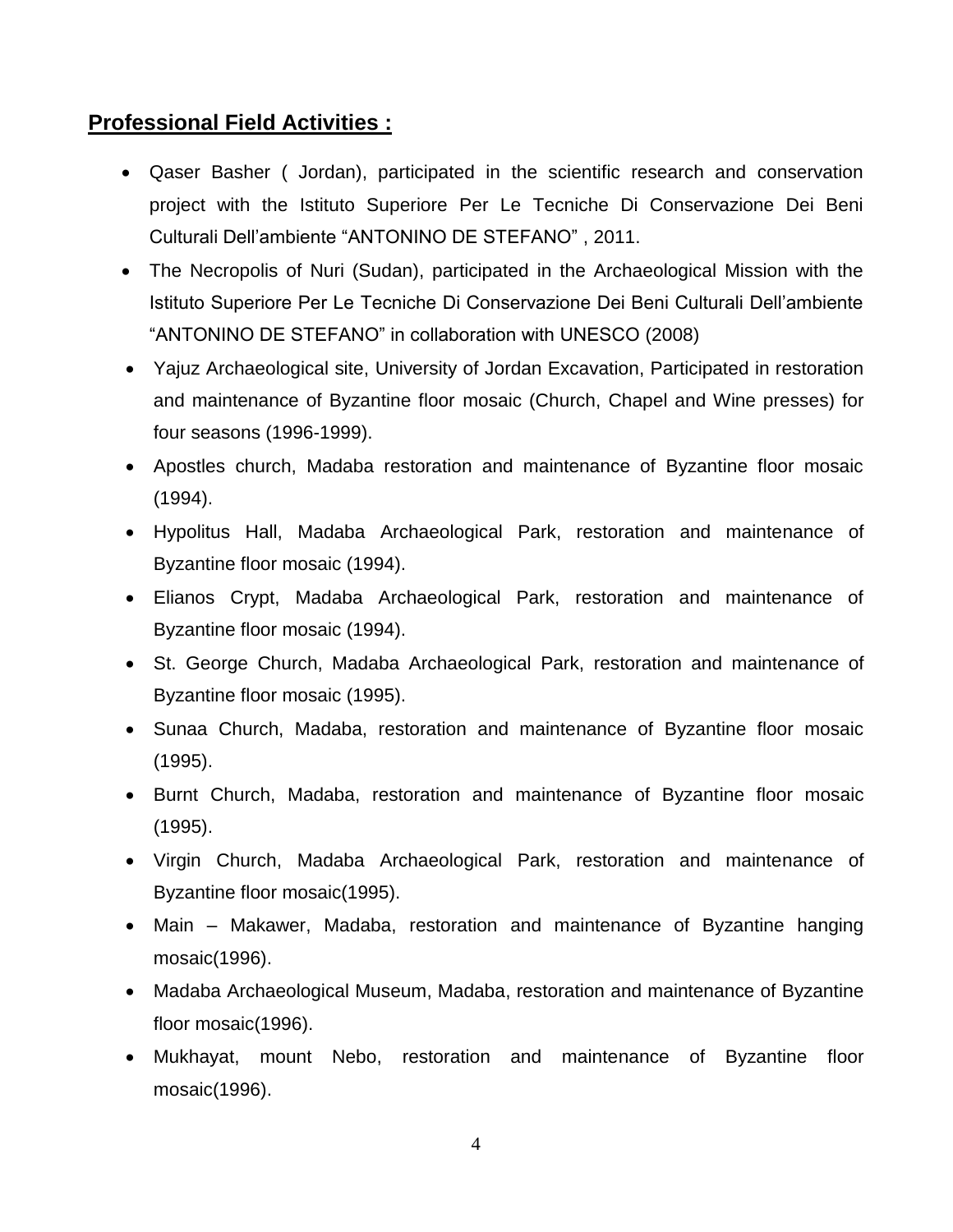## **Professional Field Activities :**

- Qaser Basher ( Jordan), participated in the scientific research and conservation project with the Istituto Superiore Per Le Tecniche Di Conservazione Dei Beni Culturali Dell'ambiente "ANTONINO DE STEFANO" , 2011.
- The Necropolis of Nuri (Sudan), participated in the Archaeological Mission with the Istituto Superiore Per Le Tecniche Di Conservazione Dei Beni Culturali Dell'ambiente "ANTONINO DE STEFANO" in collaboration with UNESCO (2008)
- Yajuz Archaeological site, University of Jordan Excavation, Participated in restoration and maintenance of Byzantine floor mosaic (Church, Chapel and Wine presses) for four seasons (1996-1999).
- Apostles church, Madaba restoration and maintenance of Byzantine floor mosaic (1994).
- Hypolitus Hall, Madaba Archaeological Park, restoration and maintenance of Byzantine floor mosaic (1994).
- Elianos Crypt, Madaba Archaeological Park, restoration and maintenance of Byzantine floor mosaic (1994).
- St. George Church, Madaba Archaeological Park, restoration and maintenance of Byzantine floor mosaic (1995).
- Sunaa Church, Madaba, restoration and maintenance of Byzantine floor mosaic (1995).
- Burnt Church, Madaba, restoration and maintenance of Byzantine floor mosaic (1995).
- Virgin Church, Madaba Archaeological Park, restoration and maintenance of Byzantine floor mosaic(1995).
- Main Makawer, Madaba, restoration and maintenance of Byzantine hanging mosaic(1996).
- Madaba Archaeological Museum, Madaba, restoration and maintenance of Byzantine floor mosaic(1996).
- Mukhayat, mount Nebo, restoration and maintenance of Byzantine floor mosaic(1996).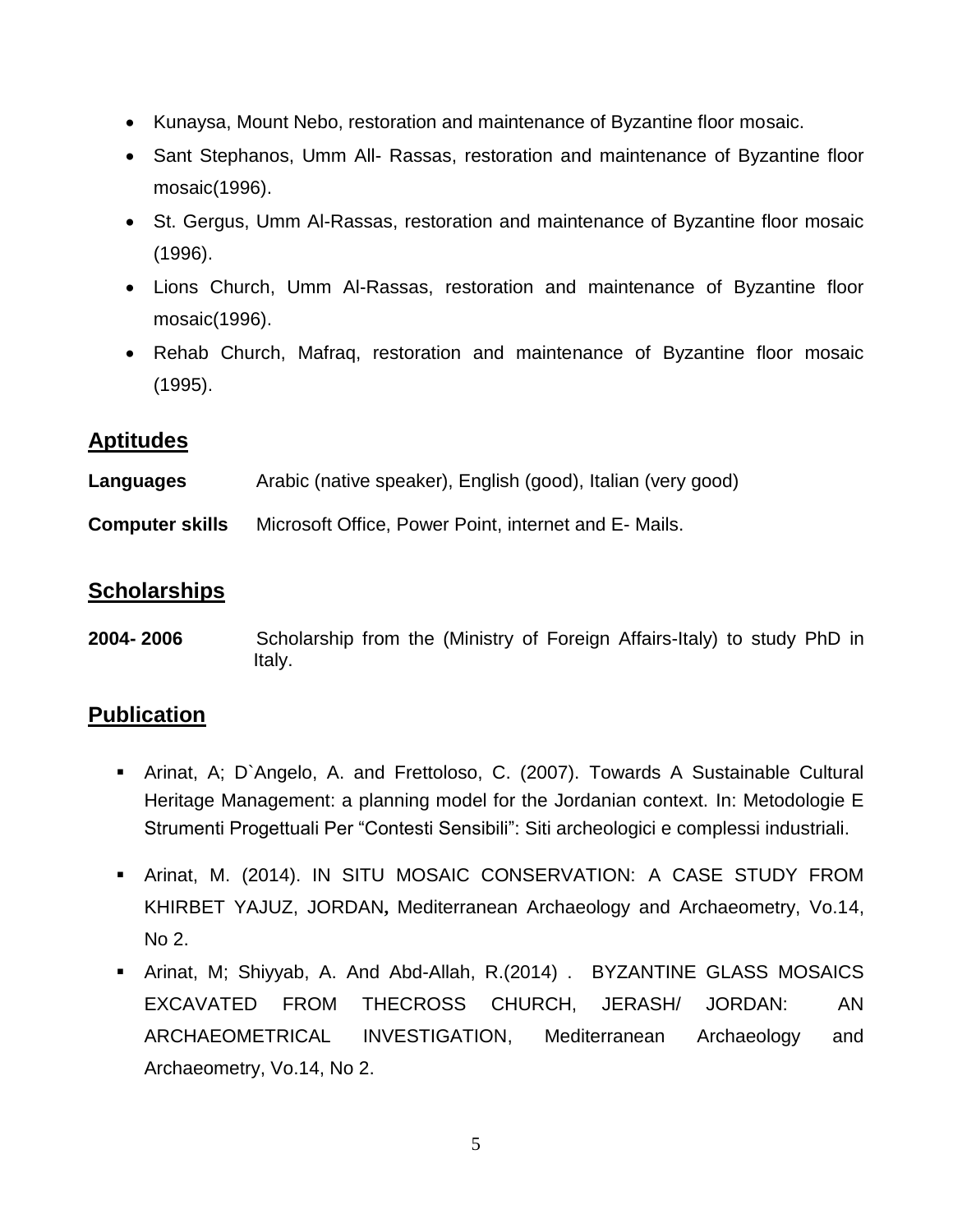- Kunaysa, Mount Nebo, restoration and maintenance of Byzantine floor mosaic.
- Sant Stephanos, Umm All- Rassas, restoration and maintenance of Byzantine floor mosaic(1996).
- St. Gergus, Umm Al-Rassas, restoration and maintenance of Byzantine floor mosaic (1996).
- Lions Church, Umm Al-Rassas, restoration and maintenance of Byzantine floor mosaic(1996).
- Rehab Church, Mafraq, restoration and maintenance of Byzantine floor mosaic (1995).

### **Aptitudes**

**Languages** Arabic (native speaker), English (good), Italian (very good)

**Computer skills** Microsoft Office, Power Point, internet and E- Mails.

### **Scholarships**

**2004- 2006** Scholarship from the (Ministry of Foreign Affairs-Italy) to study PhD in Italy.

### **Publication**

- Arinat, A; D`Angelo, A. and Frettoloso, C. (2007). Towards A Sustainable Cultural Heritage Management: a planning model for the Jordanian context. In: Metodologie E Strumenti Progettuali Per "Contesti Sensibili": Siti archeologici e complessi industriali.
- Arinat, M. (2014). IN SITU MOSAIC CONSERVATION: A CASE STUDY FROM KHIRBET YAJUZ, JORDAN**,** Mediterranean Archaeology and Archaeometry, Vo.14, No 2.
- Arinat, M; Shiyyab, A. And Abd-Allah, R.(2014) . BYZANTINE GLASS MOSAICS EXCAVATED FROM THECROSS CHURCH, JERASH/ JORDAN: AN ARCHAEOMETRICAL INVESTIGATION, Mediterranean Archaeology and Archaeometry, Vo.14, No 2.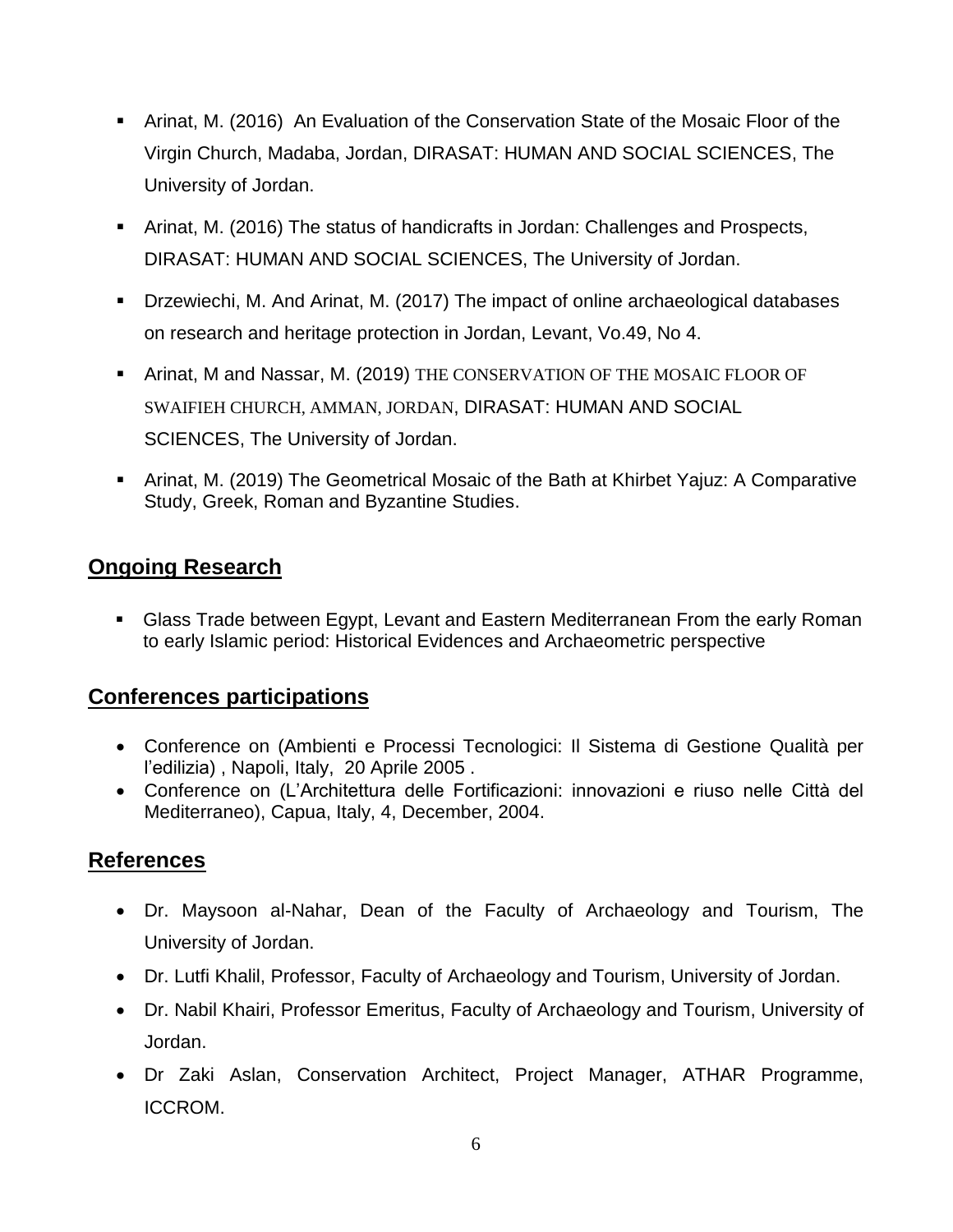- Arinat, M. (2016) An Evaluation of the Conservation State of the Mosaic Floor of the Virgin Church, Madaba, Jordan, DIRASAT: HUMAN AND SOCIAL SCIENCES, The University of Jordan.
- Arinat, M. (2016) The status of handicrafts in Jordan: Challenges and Prospects, DIRASAT: HUMAN AND SOCIAL SCIENCES, The University of Jordan.
- Drzewiechi, M. And Arinat, M. (2017) The impact of online archaeological databases on research and heritage protection in Jordan, Levant, Vo.49, No 4.
- Arinat, M and Nassar, M. (2019) THE CONSERVATION OF THE MOSAIC FLOOR OF SWAIFIEH CHURCH, AMMAN, JORDAN, DIRASAT: HUMAN AND SOCIAL SCIENCES, The University of Jordan.
- Arinat, M. (2019) The Geometrical Mosaic of the Bath at Khirbet Yajuz: A Comparative Study, Greek, Roman and Byzantine Studies.

## **Ongoing Research**

 Glass Trade between Egypt, Levant and Eastern Mediterranean From the early Roman to early [Islamic](https://en.wikipedia.org/wiki/Glass_in_Islamic_culture) period: Historical Evidences and Archaeometric perspective

## **Conferences participations**

- Conference on (Ambienti e Processi Tecnologici: Il Sistema di Gestione Qualità per l'edilizia) , Napoli, Italy, 20 Aprile 2005 .
- Conference on (L'Architettura delle Fortificazioni: innovazioni e riuso nelle Città del Mediterraneo), Capua, Italy, 4, December, 2004.

### **References**

- Dr. Maysoon al-Nahar, Dean of the Faculty of Archaeology and Tourism, The University of Jordan.
- Dr. Lutfi Khalil, Professor, Faculty of Archaeology and Tourism, University of Jordan.
- Dr. Nabil Khairi, Professor Emeritus, Faculty of Archaeology and Tourism, University of Jordan.
- Dr Zaki Aslan, Conservation Architect, Project Manager, ATHAR Programme, ICCROM.